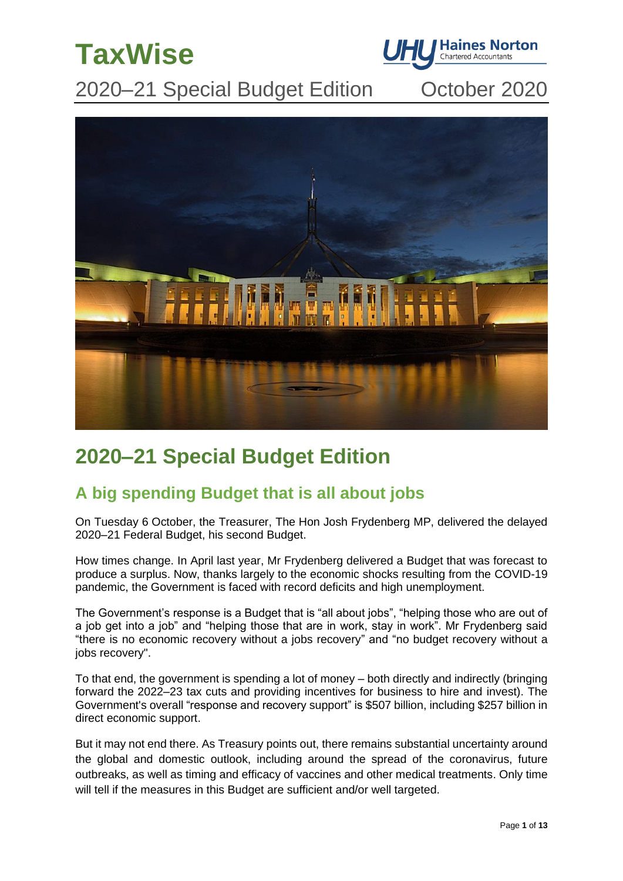



2020–21 Special Budget Edition October 2020



# **2020–21 Special Budget Edition**

## **A big spending Budget that is all about jobs**

On Tuesday 6 October, the Treasurer, The Hon Josh Frydenberg MP, delivered the delayed 2020–21 Federal Budget, his second Budget.

How times change. In April last year, Mr Frydenberg delivered a Budget that was forecast to produce a surplus. Now, thanks largely to the economic shocks resulting from the COVID-19 pandemic, the Government is faced with record deficits and high unemployment.

The Government's response is a Budget that is "all about jobs", "helping those who are out of a job get into a job" and "helping those that are in work, stay in work". Mr Frydenberg said "there is no economic recovery without a jobs recovery" and "no budget recovery without a jobs recovery".

To that end, the government is spending a lot of money – both directly and indirectly (bringing forward the 2022–23 tax cuts and providing incentives for business to hire and invest). The Government's overall "response and recovery support" is \$507 billion, including \$257 billion in direct economic support.

But it may not end there. As Treasury points out, there remains substantial uncertainty around the global and domestic outlook, including around the spread of the coronavirus, future outbreaks, as well as timing and efficacy of vaccines and other medical treatments. Only time will tell if the measures in this Budget are sufficient and/or well targeted.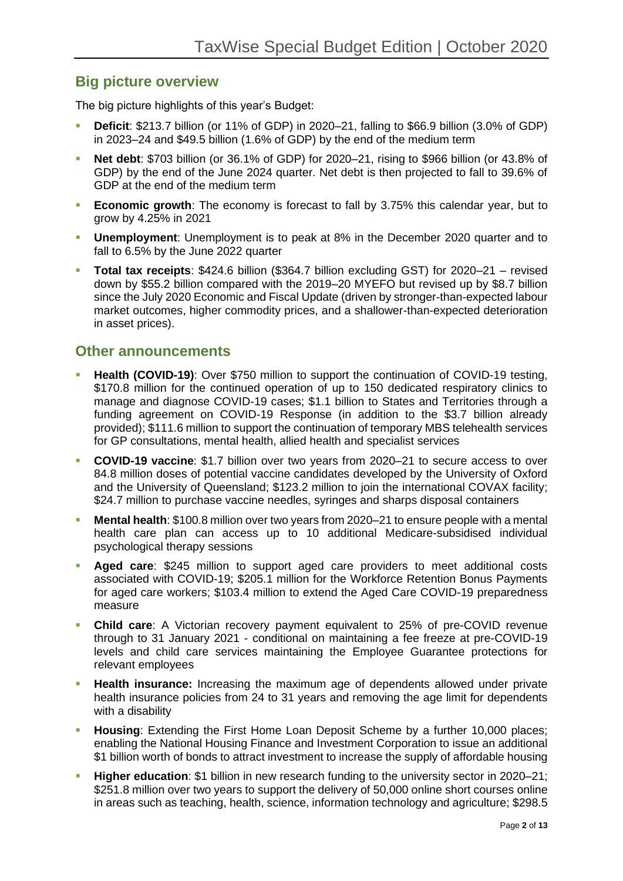## **Big picture overview**

The big picture highlights of this year's Budget:

- **Deficit**: \$213.7 billion (or 11% of GDP) in 2020–21, falling to \$66.9 billion (3.0% of GDP) in 2023–24 and \$49.5 billion (1.6% of GDP) by the end of the medium term
- **Net debt**: \$703 billion (or 36.1% of GDP) for 2020–21, rising to \$966 billion (or 43.8% of GDP) by the end of the June 2024 quarter. Net debt is then projected to fall to 39.6% of GDP at the end of the medium term
- **Economic growth**: The economy is forecast to fall by 3.75% this calendar year, but to grow by 4.25% in 2021
- **Unemployment:** Unemployment is to peak at 8% in the December 2020 quarter and to fall to 6.5% by the June 2022 quarter
- **Total tax receipts**: \$424.6 billion (\$364.7 billion excluding GST) for 2020–21 revised down by \$55.2 billion compared with the 2019–20 MYEFO but revised up by \$8.7 billion since the July 2020 Economic and Fiscal Update (driven by stronger-than-expected labour market outcomes, higher commodity prices, and a shallower-than-expected deterioration in asset prices).

## **Other announcements**

- **Health (COVID-19)**: Over \$750 million to support the continuation of COVID-19 testing, \$170.8 million for the continued operation of up to 150 dedicated respiratory clinics to manage and diagnose COVID-19 cases; \$1.1 billion to States and Territories through a funding agreement on COVID-19 Response (in addition to the \$3.7 billion already provided); \$111.6 million to support the continuation of temporary MBS telehealth services for GP consultations, mental health, allied health and specialist services
- **COVID-19 vaccine**: \$1.7 billion over two years from 2020–21 to secure access to over 84.8 million doses of potential vaccine candidates developed by the University of Oxford and the University of Queensland; \$123.2 million to join the international COVAX facility; \$24.7 million to purchase vaccine needles, syringes and sharps disposal containers
- **Mental health**: \$100.8 million over two years from 2020–21 to ensure people with a mental health care plan can access up to 10 additional Medicare-subsidised individual psychological therapy sessions
- **Aged care**: \$245 million to support aged care providers to meet additional costs associated with COVID-19; \$205.1 million for the Workforce Retention Bonus Payments for aged care workers; \$103.4 million to extend the Aged Care COVID-19 preparedness measure
- **Child care:** A Victorian recovery payment equivalent to 25% of pre-COVID revenue through to 31 January 2021 - conditional on maintaining a fee freeze at pre-COVID-19 levels and child care services maintaining the Employee Guarantee protections for relevant employees
- **E.** Health insurance: Increasing the maximum age of dependents allowed under private health insurance policies from 24 to 31 years and removing the age limit for dependents with a disability
- **Housing:** Extending the First Home Loan Deposit Scheme by a further 10,000 places; enabling the National Housing Finance and Investment Corporation to issue an additional \$1 billion worth of bonds to attract investment to increase the supply of affordable housing
- **Higher education**: \$1 billion in new research funding to the university sector in 2020–21; \$251.8 million over two years to support the delivery of 50,000 online short courses online in areas such as teaching, health, science, information technology and agriculture; \$298.5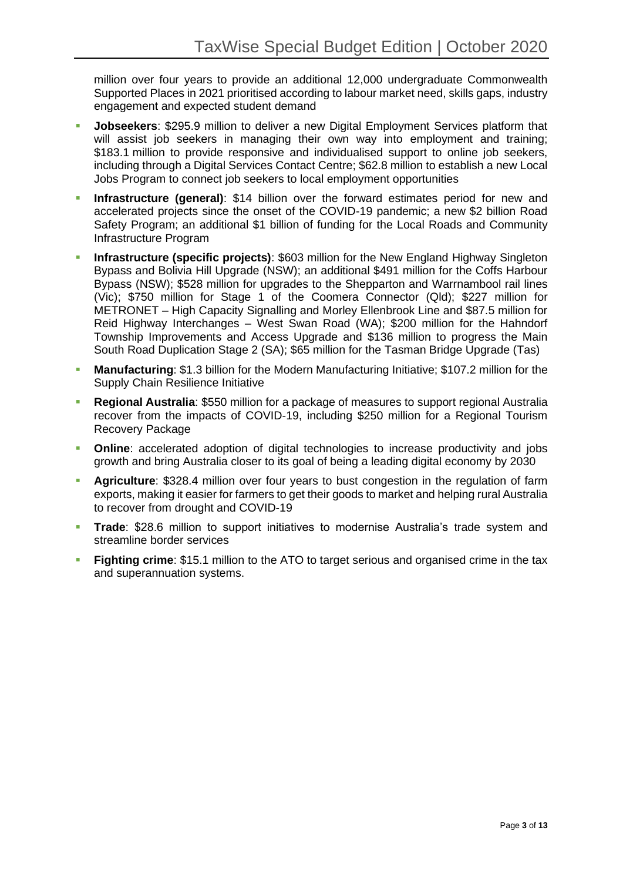million over four years to provide an additional 12,000 undergraduate Commonwealth Supported Places in 2021 prioritised according to labour market need, skills gaps, industry engagement and expected student demand

- **Jobseekers: \$295.9 million to deliver a new Digital Employment Services platform that** will assist job seekers in managing their own way into employment and training; \$183.1 million to provide responsive and individualised support to online job seekers, including through a Digital Services Contact Centre; \$62.8 million to establish a new Local Jobs Program to connect job seekers to local employment opportunities
- **Infrastructure (general)**: \$14 billion over the forward estimates period for new and accelerated projects since the onset of the COVID-19 pandemic; a new \$2 billion Road Safety Program; an additional \$1 billion of funding for the Local Roads and Community Infrastructure Program
- **Infrastructure (specific projects): \$603 million for the New England Highway Singleton** Bypass and Bolivia Hill Upgrade (NSW); an additional \$491 million for the Coffs Harbour Bypass (NSW); \$528 million for upgrades to the Shepparton and Warrnambool rail lines (Vic); \$750 million for Stage 1 of the Coomera Connector (Qld); \$227 million for METRONET – High Capacity Signalling and Morley Ellenbrook Line and \$87.5 million for Reid Highway Interchanges – West Swan Road (WA); \$200 million for the Hahndorf Township Improvements and Access Upgrade and \$136 million to progress the Main South Road Duplication Stage 2 (SA); \$65 million for the Tasman Bridge Upgrade (Tas)
- **Manufacturing**: \$1.3 billion for the Modern Manufacturing Initiative; \$107.2 million for the Supply Chain Resilience Initiative
- **Regional Australia: \$550 million for a package of measures to support regional Australia** recover from the impacts of COVID-19, including \$250 million for a Regional Tourism Recovery Package
- **Online**: accelerated adoption of digital technologies to increase productivity and jobs growth and bring Australia closer to its goal of being a leading digital economy by 2030
- **Agriculture**: \$328.4 million over four years to bust congestion in the regulation of farm exports, making it easier for farmers to get their goods to market and helping rural Australia to recover from drought and COVID-19
- **Trade:** \$28.6 million to support initiatives to modernise Australia's trade system and streamline border services
- **Fighting crime:** \$15.1 million to the ATO to target serious and organised crime in the tax and superannuation systems.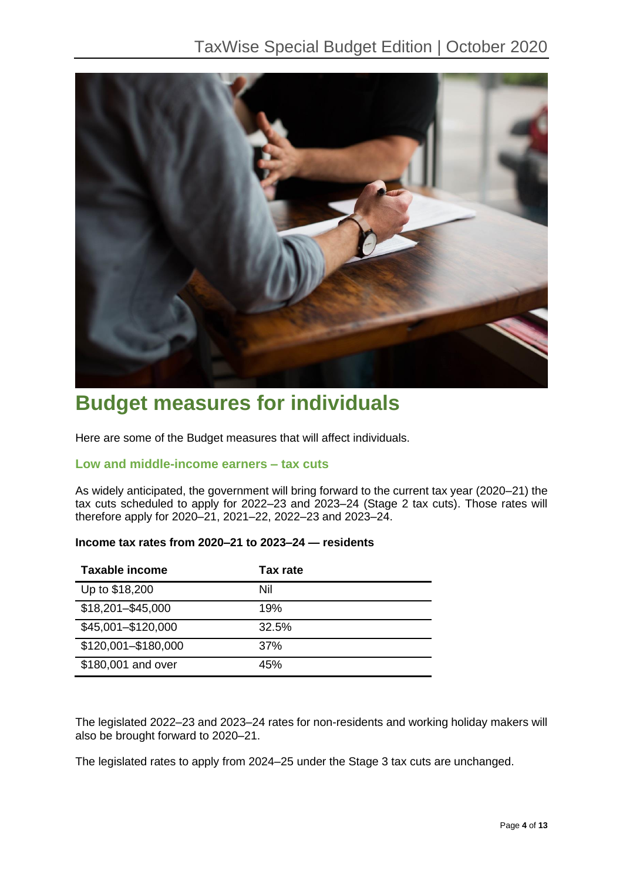

# **Budget measures for individuals**

Here are some of the Budget measures that will affect individuals.

## **Low and middle-income earners – tax cuts**

As widely anticipated, the government will bring forward to the current tax year (2020–21) the tax cuts scheduled to apply for 2022–23 and 2023–24 (Stage 2 tax cuts). Those rates will therefore apply for 2020–21, 2021–22, 2022–23 and 2023–24.

| Taxable income      | Tax rate |
|---------------------|----------|
| Up to \$18,200      | Nil      |
| \$18,201-\$45,000   | 19%      |
| \$45,001-\$120,000  | 32.5%    |
| \$120,001-\$180,000 | 37%      |
| \$180,001 and over  | 45%      |

## **Income tax rates from 2020–21 to 2023–24 — residents**

The legislated 2022–23 and 2023–24 rates for non-residents and working holiday makers will also be brought forward to 2020–21.

The legislated rates to apply from 2024–25 under the Stage 3 tax cuts are unchanged.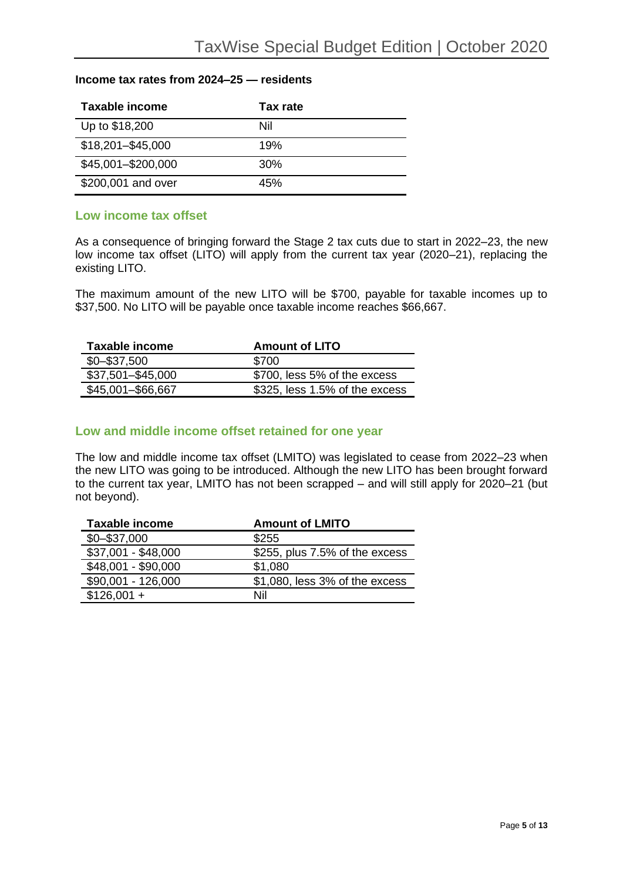#### **Income tax rates from 2024–25 — residents**

| Taxable income     | Tax rate |
|--------------------|----------|
| Up to \$18,200     | Nil      |
| \$18,201-\$45,000  | 19%      |
| \$45,001-\$200,000 | 30%      |
| \$200,001 and over | 45%      |

### **Low income tax offset**

As a consequence of bringing forward the Stage 2 tax cuts due to start in 2022–23, the new low income tax offset (LITO) will apply from the current tax year (2020–21), replacing the existing LITO.

The maximum amount of the new LITO will be \$700, payable for taxable incomes up to \$37,500. No LITO will be payable once taxable income reaches \$66,667.

| Taxable income    | <b>Amount of LITO</b>          |
|-------------------|--------------------------------|
| $$0 - $37,500$    | \$700                          |
| \$37,501-\$45,000 | \$700, less 5% of the excess   |
| \$45,001-\$66,667 | \$325, less 1.5% of the excess |

### **Low and middle income offset retained for one year**

The low and middle income tax offset (LMITO) was legislated to cease from 2022–23 when the new LITO was going to be introduced. Although the new LITO has been brought forward to the current tax year, LMITO has not been scrapped – and will still apply for 2020–21 (but not beyond).

| <b>Taxable income</b> | <b>Amount of LMITO</b>         |
|-----------------------|--------------------------------|
| $$0 - $37,000$        | \$255                          |
| \$37,001 - \$48,000   | \$255, plus 7.5% of the excess |
| \$48,001 - \$90,000   | \$1,080                        |
| \$90,001 - 126,000    | \$1,080, less 3% of the excess |
| $$126,001 +$          | Nil                            |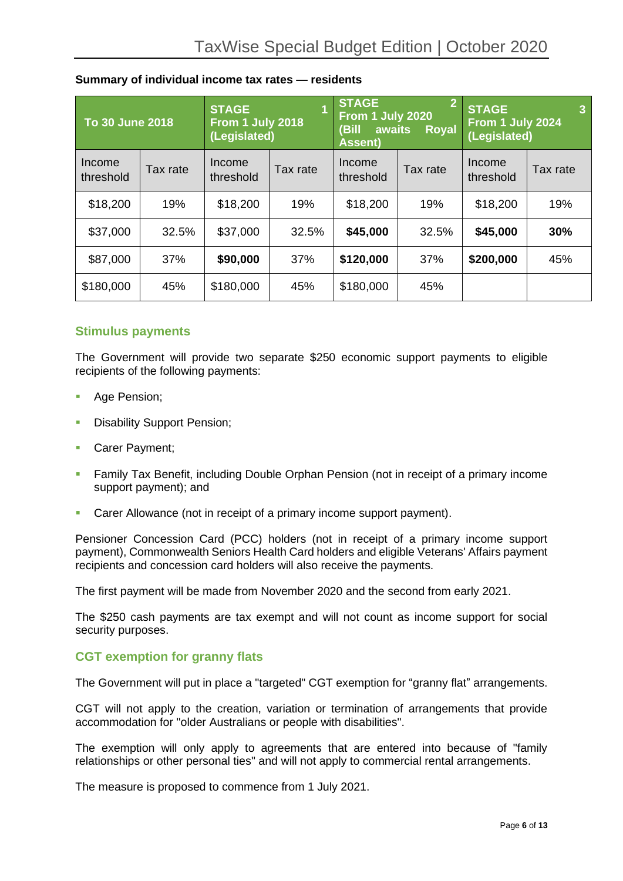|                     | <b>STAGE</b><br>$\overline{2}$<br>1<br><b>STAGE</b><br>From 1 July 2020<br>To 30 June 2018<br>From 1 July 2018<br>(Bill<br>awaits<br><b>Royal</b><br>(Legislated)<br><b>Assent)</b> |                     | <b>STAGE</b><br>3<br>From 1 July 2024<br>(Legislated) |                     |          |                     |          |
|---------------------|-------------------------------------------------------------------------------------------------------------------------------------------------------------------------------------|---------------------|-------------------------------------------------------|---------------------|----------|---------------------|----------|
| Income<br>threshold | Tax rate                                                                                                                                                                            | Income<br>threshold | Tax rate                                              | Income<br>threshold | Tax rate | Income<br>threshold | Tax rate |
| \$18,200            | 19%                                                                                                                                                                                 | \$18,200            | 19%                                                   | \$18,200            | 19%      | \$18,200            | 19%      |
| \$37,000            | 32.5%                                                                                                                                                                               | \$37,000            | 32.5%                                                 | \$45,000            | 32.5%    | \$45,000            | 30%      |
| \$87,000            | 37%                                                                                                                                                                                 | \$90,000            | 37%                                                   | \$120,000           | 37%      | \$200,000           | 45%      |
| \$180,000           | 45%                                                                                                                                                                                 | \$180,000           | 45%                                                   | \$180,000           | 45%      |                     |          |

#### **Summary of individual income tax rates — residents**

### **Stimulus payments**

The Government will provide two separate \$250 economic support payments to eligible recipients of the following payments:

- Age Pension;
- Disability Support Pension;
- Carer Payment;
- **Family Tax Benefit, including Double Orphan Pension (not in receipt of a primary income** support payment); and
- Carer Allowance (not in receipt of a primary income support payment).

Pensioner Concession Card (PCC) holders (not in receipt of a primary income support payment), Commonwealth Seniors Health Card holders and eligible Veterans' Affairs payment recipients and concession card holders will also receive the payments.

The first payment will be made from November 2020 and the second from early 2021.

The \$250 cash payments are tax exempt and will not count as income support for social security purposes.

### **CGT exemption for granny flats**

The Government will put in place a "targeted" CGT exemption for "granny flat" arrangements.

CGT will not apply to the creation, variation or termination of arrangements that provide accommodation for "older Australians or people with disabilities".

The exemption will only apply to agreements that are entered into because of "family relationships or other personal ties" and will not apply to commercial rental arrangements.

The measure is proposed to commence from 1 July 2021.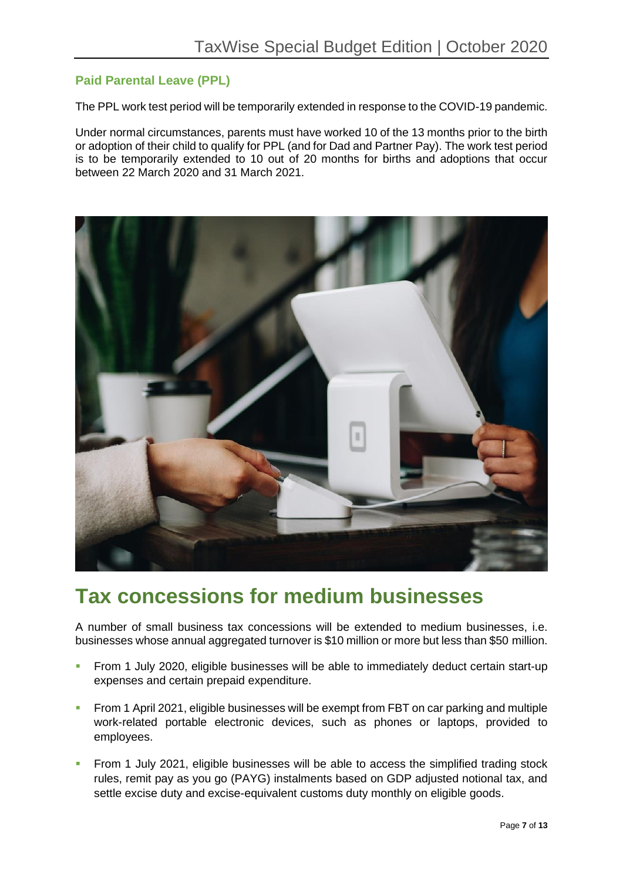## **Paid Parental Leave (PPL)**

The PPL work test period will be temporarily extended in response to the COVID-19 pandemic.

Under normal circumstances, parents must have worked 10 of the 13 months prior to the birth or adoption of their child to qualify for PPL (and for Dad and Partner Pay). The work test period is to be temporarily extended to 10 out of 20 months for births and adoptions that occur between 22 March 2020 and 31 March 2021.



## **Tax concessions for medium businesses**

A number of small business tax concessions will be extended to medium businesses, i.e. businesses whose annual aggregated turnover is \$10 million or more but less than \$50 million.

- **From 1 July 2020, eligible businesses will be able to immediately deduct certain start-up** expenses and certain prepaid expenditure.
- From 1 April 2021, eligible businesses will be exempt from FBT on car parking and multiple work-related portable electronic devices, such as phones or laptops, provided to employees.
- From 1 July 2021, eligible businesses will be able to access the simplified trading stock rules, remit pay as you go (PAYG) instalments based on GDP adjusted notional tax, and settle excise duty and excise-equivalent customs duty monthly on eligible goods.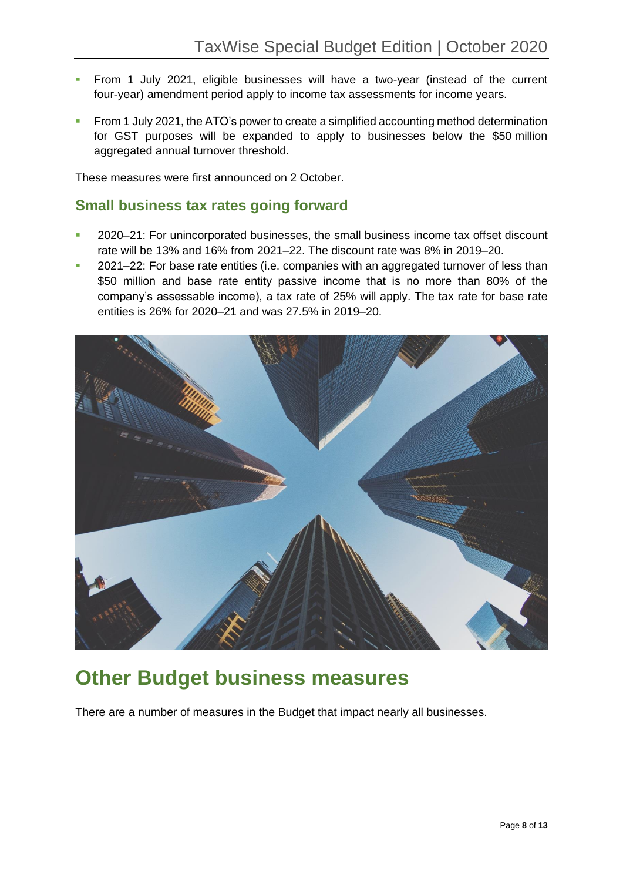- From 1 July 2021, eligible businesses will have a two-year (instead of the current four-year) amendment period apply to income tax assessments for income years.
- From 1 July 2021, the ATO's power to create a simplified accounting method determination for GST purposes will be expanded to apply to businesses below the \$50 million aggregated annual turnover threshold.

These measures were first announced on 2 October.

## **Small business tax rates going forward**

- 2020–21: For unincorporated businesses, the small business income tax offset discount rate will be 13% and 16% from 2021–22. The discount rate was 8% in 2019–20.
- 2021–22: For base rate entities (i.e. companies with an aggregated turnover of less than \$50 million and base rate entity passive income that is no more than 80% of the company's assessable income), a tax rate of 25% will apply. The tax rate for base rate entities is 26% for 2020–21 and was 27.5% in 2019–20.



# **Other Budget business measures**

There are a number of measures in the Budget that impact nearly all businesses.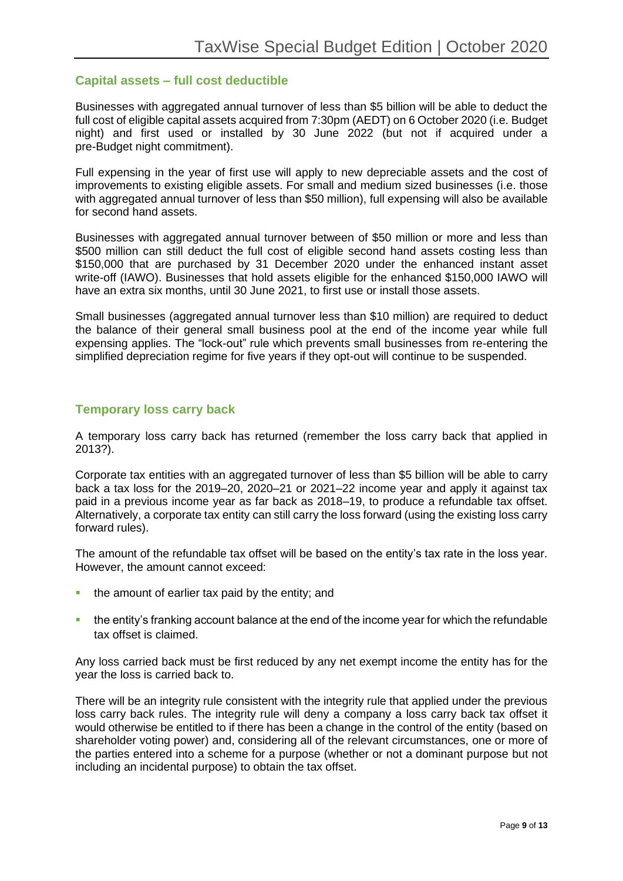### **Capital assets – full cost deductible**

Businesses with aggregated annual turnover of less than \$5 billion will be able to deduct the full cost of eligible capital assets acquired from 7:30pm (AEDT) on 6 October 2020 (i.e. Budget night) and first used or installed by 30 June 2022 (but not if acquired under a pre-Budget night commitment).

Full expensing in the year of first use will apply to new depreciable assets and the cost of improvements to existing eligible assets. For small and medium sized businesses (i.e. those with aggregated annual turnover of less than \$50 million), full expensing will also be available for second hand assets.

Businesses with aggregated annual turnover between of \$50 million or more and less than \$500 million can still deduct the full cost of eligible second hand assets costing less than \$150,000 that are purchased by 31 December 2020 under the enhanced instant asset write-off (IAWO). Businesses that hold assets eligible for the enhanced \$150,000 IAWO will have an extra six months, until 30 June 2021, to first use or install those assets.

Small businesses (aggregated annual turnover less than \$10 million) are required to deduct the balance of their general small business pool at the end of the income year while full expensing applies. The "lock-out" rule which prevents small businesses from re-entering the simplified depreciation regime for five years if they opt-out will continue to be suspended.

### **Temporary loss carry back**

A temporary loss carry back has returned (remember the loss carry back that applied in 2013?).

Corporate tax entities with an aggregated turnover of less than \$5 billion will be able to carry back a tax loss for the 2019–20, 2020–21 or 2021–22 income year and apply it against tax paid in a previous income year as far back as 2018–19, to produce a refundable tax offset. Alternatively, a corporate tax entity can still carry the loss forward (using the existing loss carry forward rules).

The amount of the refundable tax offset will be based on the entity's tax rate in the loss year. However, the amount cannot exceed:

- the amount of earlier tax paid by the entity; and
- the entity's franking account balance at the end of the income year for which the refundable tax offset is claimed.

Any loss carried back must be first reduced by any net exempt income the entity has for the year the loss is carried back to.

There will be an integrity rule consistent with the integrity rule that applied under the previous loss carry back rules. The integrity rule will deny a company a loss carry back tax offset it would otherwise be entitled to if there has been a change in the control of the entity (based on shareholder voting power) and, considering all of the relevant circumstances, one or more of the parties entered into a scheme for a purpose (whether or not a dominant purpose but not including an incidental purpose) to obtain the tax offset.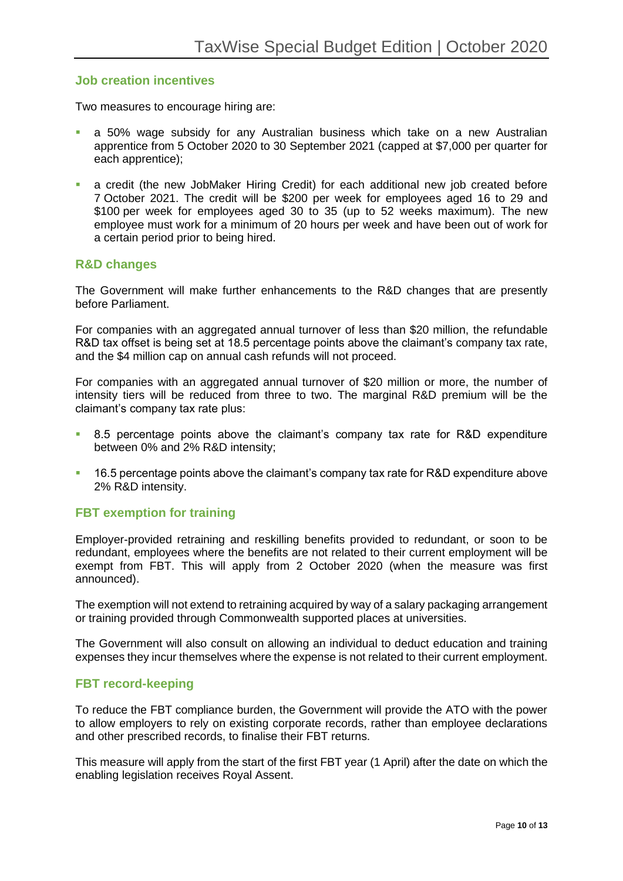### **Job creation incentives**

Two measures to encourage hiring are:

- a 50% wage subsidy for any Australian business which take on a new Australian apprentice from 5 October 2020 to 30 September 2021 (capped at \$7,000 per quarter for each apprentice);
- a credit (the new JobMaker Hiring Credit) for each additional new job created before 7 October 2021. The credit will be \$200 per week for employees aged 16 to 29 and \$100 per week for employees aged 30 to 35 (up to 52 weeks maximum). The new employee must work for a minimum of 20 hours per week and have been out of work for a certain period prior to being hired.

### **R&D changes**

The Government will make further enhancements to the R&D changes that are presently before Parliament.

For companies with an aggregated annual turnover of less than \$20 million, the refundable R&D tax offset is being set at 18.5 percentage points above the claimant's company tax rate, and the \$4 million cap on annual cash refunds will not proceed.

For companies with an aggregated annual turnover of \$20 million or more, the number of intensity tiers will be reduced from three to two. The marginal R&D premium will be the claimant's company tax rate plus:

- 8.5 percentage points above the claimant's company tax rate for R&D expenditure between 0% and 2% R&D intensity;
- 16.5 percentage points above the claimant's company tax rate for R&D expenditure above 2% R&D intensity.

## **FBT exemption for training**

Employer-provided retraining and reskilling benefits provided to redundant, or soon to be redundant, employees where the benefits are not related to their current employment will be exempt from FBT. This will apply from 2 October 2020 (when the measure was first announced).

The exemption will not extend to retraining acquired by way of a salary packaging arrangement or training provided through Commonwealth supported places at universities.

The Government will also consult on allowing an individual to deduct education and training expenses they incur themselves where the expense is not related to their current employment.

### **FBT record-keeping**

To reduce the FBT compliance burden, the Government will provide the ATO with the power to allow employers to rely on existing corporate records, rather than employee declarations and other prescribed records, to finalise their FBT returns.

This measure will apply from the start of the first FBT year (1 April) after the date on which the enabling legislation receives Royal Assent.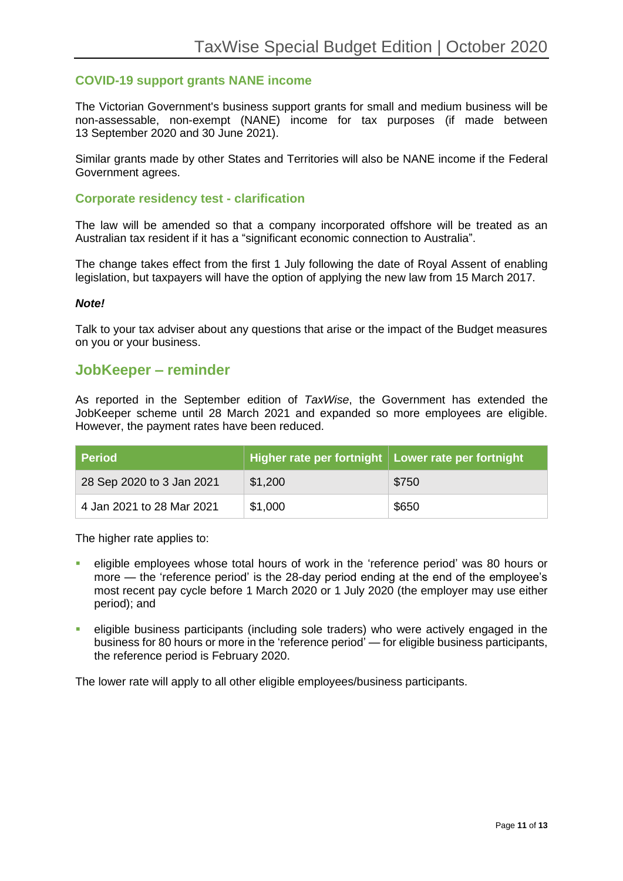## **COVID-19 support grants NANE income**

The Victorian Government's business support grants for small and medium business will be non-assessable, non-exempt (NANE) income for tax purposes (if made between 13 September 2020 and 30 June 2021).

Similar grants made by other States and Territories will also be NANE income if the Federal Government agrees.

### **Corporate residency test - clarification**

The law will be amended so that a company incorporated offshore will be treated as an Australian tax resident if it has a "significant economic connection to Australia".

The change takes effect from the first 1 July following the date of Royal Assent of enabling legislation, but taxpayers will have the option of applying the new law from 15 March 2017.

#### *Note!*

Talk to your tax adviser about any questions that arise or the impact of the Budget measures on you or your business.

### **JobKeeper – reminder**

As reported in the September edition of *TaxWise*, the Government has extended the JobKeeper scheme until 28 March 2021 and expanded so more employees are eligible. However, the payment rates have been reduced.

| <b>Period</b>             | Higher rate per fortnight   Lower rate per fortnight |       |
|---------------------------|------------------------------------------------------|-------|
| 28 Sep 2020 to 3 Jan 2021 | \$1,200                                              | \$750 |
| 4 Jan 2021 to 28 Mar 2021 | \$1,000                                              | \$650 |

The higher rate applies to:

- eligible employees whose total hours of work in the 'reference period' was 80 hours or more — the 'reference period' is the 28-day period ending at the end of the employee's most recent pay cycle before 1 March 2020 or 1 July 2020 (the employer may use either period); and
- eligible business participants (including sole traders) who were actively engaged in the business for 80 hours or more in the 'reference period' — for eligible business participants, the reference period is February 2020.

The lower rate will apply to all other eligible employees/business participants.